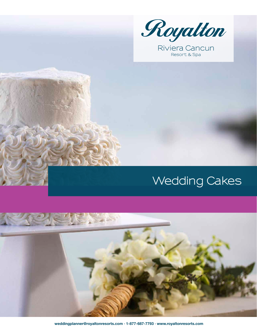

Resort & Spa

# **Wedding Cakes**



 **weddingplanner@royaltonresorts.com · 1-877-687-7793 · www.royaltonresorts.com**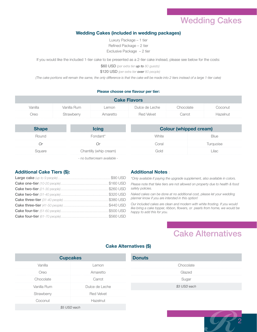### Wedding Cakes

### **Wedding Cakes (included in wedding packages)**

Luxury Package – 1 tier Refined Package – 2 tier Exclusive Package – 2 tier

If you would like the included 1-tier cake to be presented as a 2-tier cake instead, please see below for the costs:

\$60 USD *(per extra tier up to 80 guests)* \$120 USD *(per extra tier over 80 people)*

*(The cake portions will remain the same, the only difference is that the cake will be made into 2 tiers instead of a large 1-tier cake)*

#### **Please choose one flavour per tier:**

| <b>Cake Flavors</b> |             |          |                   |           |          |  |  |
|---------------------|-------------|----------|-------------------|-----------|----------|--|--|
| Vanilla             | Vanilla Rum | Lemon    | Dulce de Leche    | Chocolate | Coconut  |  |  |
| Oreo                | Strawberry  | Amaretto | <b>Red Velvet</b> | Carrot    | Hazelnut |  |  |

| <b>Shape</b> | <b>Icing</b>                 | <b>Colour (whipped cream)</b> |             |
|--------------|------------------------------|-------------------------------|-------------|
| Round        | Fondant*                     | White                         | <b>Blue</b> |
| 0r           | ( )r                         | Coral                         | Turquoise   |
| Square       | Chantilly (whip cream)       | Gold                          | Lilac       |
|              | - no buttercream available - |                               |             |

### **Additional Cake Tiers (\$):**

#### **Additional Notes** :

*\*Only available if paying the upgrade supplement, also available in colors.*

*Please note that fake tiers are not allowed on property due to health & food safety policies.*

*Naked cakes can be done at no additional cost, please let your wedding planner know if you are intersted in this option!*

*Our included cakes are clean and modern with white frosting. If you would like bring a cake topper, ribbon, flowers, or pearls from home, we would be happy to add this for you.*

### Cake Alternatives

2

### **Cake Alternatives (\$)**

| <b>Cupcakes</b> |                   | <b>Donuts</b> |
|-----------------|-------------------|---------------|
| Vanilla         | _emon             | Chocolate     |
| Oreo            | Amaretto          | Glazed        |
| Chocolate       | Carrot            | Sugar         |
| Vanilla Rum     | Dulce de Leche    | \$3 USD each  |
| Strawberry      | <b>Red Velvet</b> |               |
| Coconut         | Hazelnut          |               |
| \$5 USD each    |                   |               |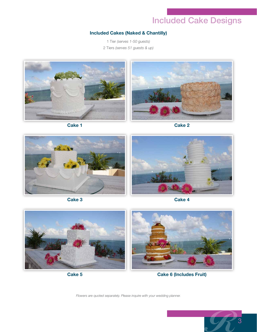## Included Cake Designs

### **Included Cakes (Naked & Chantilly)**

1 Tier *(serves 1-50 guests)* 2 Tiers *(serves 51 guests & up)*



**Cake 1**





**Cake 3**

**Cake 4**



**Cake 5**

**Cake 6 (Includes Fruit)**

*Flowers are quoted separately. Please inquire with your wedding planner.*

3